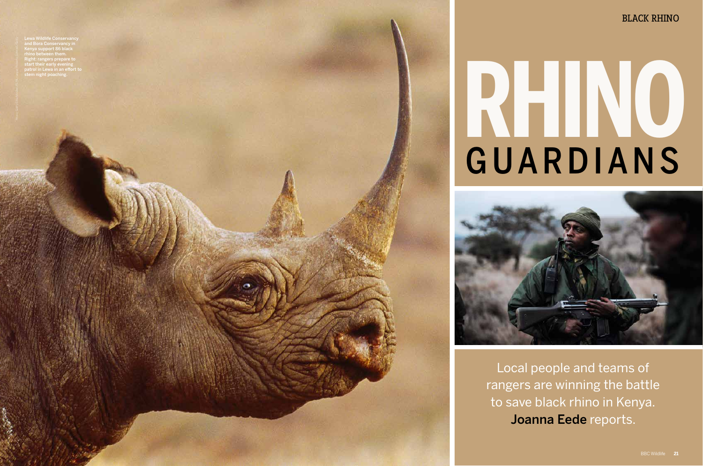and Bora Conservancy in Kenya support 86 black rhino between them. Right: rangers prepare to start their early evening patrol in Lewa in an efort to n night poachii



Local people and teams of rangers are winning the battle to save black rhino in Kenya. Joanna Eede reports.

# **RHINO** GUARDIANS

# BLACK RHINO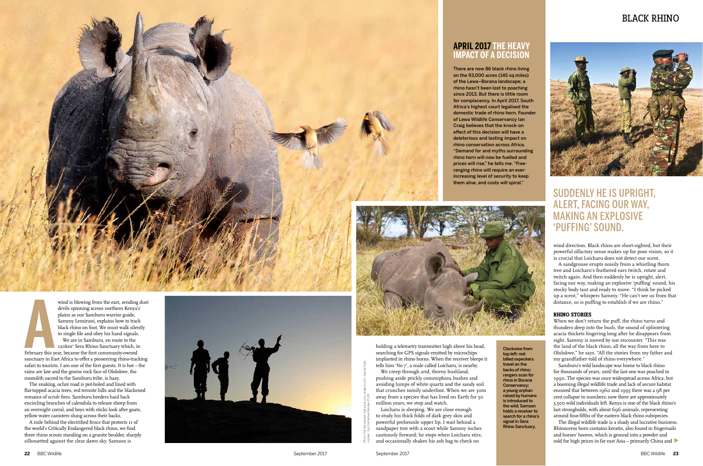## BLACK RHINO

**A**<br>February this y wind is blowing from the east, sending dust devils spinning across northern Kenya's plains as our Samburu warrior guide, Sammy Lemiruni, explains how to track black rhino on foot. We must walk silently in single file and obey his hand signals. We are in Samburu, en route to the 120km 2 Sera Rhino Sanctuary which, in February this year, became the first community-owned sanctuary in East Africa to offer a pioneering rhino-tracking safari to tourists. I am one of the first guests. It is hot – the rains are late and the gneiss rock face of Ololokwe, the monolith sacred to the Samburu tribe, is hazy.

The snaking, ochre road is pot-holed and lined with flat-topped acacia trees, red termite hills and the blackened remains of scrub fires. Samburu herders haul back encircling branches of calendula to release sheep from an overnight corral, and boys with sticks look after goats, yellow water canisters slung across their backs.

A mile behind the electrified fence that protects 11 of the world's Critically Endangered black rhino, we find three rhino scouts standing on a granite boulder, sharply silhouetted against the clear dawn sky. Samson is



wind direction. Black rhino are short-sighted, but their powerful olfactory sense makes up for poor vision, so it is crucial that Loicharu does not detect our scent.

The illegal wildlife trade is a shady and lucrative business. Rhinoceros horn contains keratin, also found in fingernails and horses' hooves, which is ground into a powder and sold for high prices in far east Asia – primarily China and  $\blacktriangleright$ 

A sandgrouse erupts noisily from a whistling thorn tree and Loicharu's feathered ears twitch, rotate and twitch again. And then suddenly he is upright, alert, facing our way, making an explosive 'puffing' sound, his stocky body taut and ready to move. "I think he picked up a scent," whispers Sammy. "He can't see us from that distance, so is puffing to establish if we are rhino."

### **RHINO STORIES**

When we don't return the puff, the rhino turns and thunders deep into the bush, the sound of splintering acacia thickets lingering long after he disappears from sight. Sammy is moved by our encounter. "This was the land of the black rhino, all the way from here to Ololokwe," he says. "All the stories from my father and my grandfather told of rhino everywhere."

Samburu's wild landscape was home to black rhino for thousands of years, until the last one was poached in 1990. The species was once widespread across Africa, but a booming illegal wildlife trade and lack of secure habitat ensured that between 1960 and 1995 there was a 98 per cent collapse in numbers; now there are approximately 5,500 wild individuals left. Kenya is one of the black rhino's last strongholds, with about 696 animals, representing around four-fifths of the eastern black rhino subspecies.

There are now 86 black rhino living on the 93,000 acres (145 sq miles) of the Lewa–Borana landscape; a rhino hasn't been lost to poaching since 2013. But there is little room for complacency. In April 2017, South Africa's highest court legalised the domestic trade of rhino horn. Founder of Lewa Wildlife Conservancy Ian Craig believes that the knock-on efect of this decision will have a deleterious and lasting impact on rhino conservation across Africa. "Demand for and myths surrounding rhino horn will now be fuelled and prices will rise," he tells me. "Freeranging rhino will require an everincreasing level of security to keep them alive, and costs will spiral."





### **APRIL 2017 THE HEAVY IMPACT OF A DECISION**

holding a telemetry transmitter high above his head, searching for GPS signals emitted by microchips implanted in rhino horns. When the receiver bleeps it tells him 'No 7', a male called Loicharu, is nearby.

We creep through arid, thorny bushland, pushing aside prickly commiphora bushes and avoiding lumps of white quartz and the sandy soil that crunches noisily underfoot. When we are 30m away from a species that has lived on Earth for 50 million years, we stop and watch.

Loicharu is sleeping. We are close enough to study his thick folds of dark grey skin and powerful prehensile upper lip. I wait behind a sandpaper tree with a scout while Sammy inches cautiously forward; he stops when Loicharu stirs, and occasionally shakes his ash bag to check on

Rhino: Pal Hermansen/naturepl.com; rangers (x2): Joanna Eede;

orphan: Suzi Eszterhas/Minden/FLPA

# SUDDENLY HE IS UPRIGHT, ALERT, FACING OUR WAY, MAKING AN EXPLOSIVE 'PUFFING' SOUND.

top left: redtravel on the

Clockwise from billed oxpeckers backs of rhino; rangers scan for rhino in Borana Conservancy; a young orphan raised by humans is introduced to the wild; Samson holds a receiver to search for a rhino's signal in Sera Rhino Sanctuary.

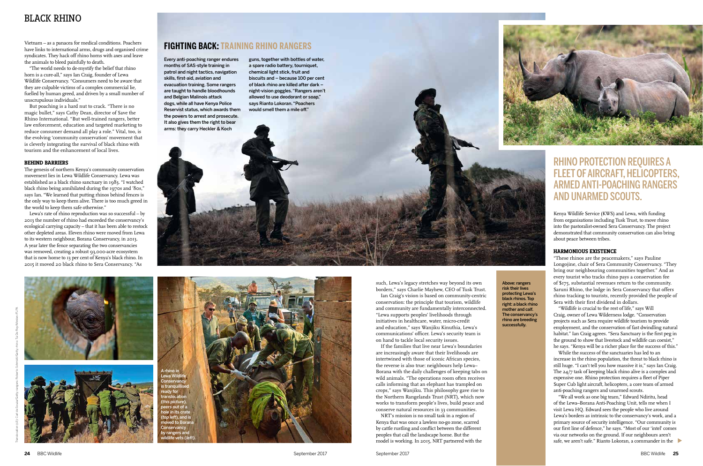Above: rangers risk their lives protecting Lewa's black rhinos. Top right: a black rhino mother and calf. The conservancy's rhino are breeding successfully.

Kenya Wildlife Service (KWS) and Lewa, with funding from organisations including Tusk Trust, to move rhino into the pastoralist-owned Sera Conservancy. The project demonstrated that community conservation can also bring about peace between tribes.

### **HARMONIOUS EXISTENCE**

"These rhinos are the peacemakers," says Pauline Longojine, chair of Sera Community Conservancy. "They bring our neighbouring communities together." And as every tourist who tracks rhino pays a conservation fee of \$175, substantial revenues return to the community. Saruni Rhino, the lodge in Sera Conservancy that offers rhino tracking to tourists, recently provided the people of Sera with their first dividend in dollars.

"Wildlife is crucial to the rest of life," says Will Craig, owner of Lewa Wilderness lodge. "Conservation projects such as Sera require wildlife tourism to provide employment, and the conservation of fast dwindling natural habitat." Ian Craig agrees. "Sera Sanctuary is the first peg in the ground to show that livestock and wildlife can coexist," he says. "Kenya will be a richer place for the success of this."

While the success of the sanctuaries has led to an increase in the rhino population, the threat to black rhino is still huge. "I can't tell you how massive it is," says Ian Craig. The 24/7 task of keeping black rhino alive is a complex and expensive one. Rhino protection requires a fleet of Piper Super Cub light aircraft, helicopters, a core team of armed anti-poaching rangers and unarmed scouts.

"We all work as one big team," Edward Ndiritu, head of the Lewa–Borana Anti-Poaching Unit, tells me when I visit Lewa HQ. Edward sees the people who live around Lewa's borders as intrinsic to the conservancy's work, and a primary source of security intelligence. "Our community is our first line of defence," he says. "Most of our 'intel' comes via our networks on the ground. If our neighbours aren't safe, we aren't safe." Rianto Lokoran, a commander in the

Vietnam – as a panacea for medical conditions. Poachers have links to international arms, drugs and organised crime syndicates. They hack off rhino horns with axes and leave the animals to bleed painfully to death.

"The world needs to de-mystify the belief that rhino horn is a cure-all," says Ian Craig, founder of Lewa Wildlife Conservancy. "Consumers need to be aware that they are culpable victims of a complex commercial lie, fuelled by human greed, and driven by a small number of unscrupulous individuals."

But poaching is a hard nut to crack. "There is no magic bullet," says Cathy Dean, director of Save the Rhino International. "But well-trained rangers, better law enforcement, education and targeted marketing to reduce consumer demand all play a role." Vital, too, is the evolving 'community conservation' movement that is cleverly integrating the survival of black rhino with tourism and the enhancement of local lives.

### **BEHIND BARRIERS**

The genesis of northern Kenya's community conservation movement lies in Lewa Wildlife Conservancy. Lewa was established as a black rhino sanctuary in 1983. "I watched black rhino being annihilated during the 1970s and '80s," says Ian. "We learned that putting rhinos behind fences is the only way to keep them alive. There is too much greed in the world to keep them safe otherwise."

Lewa's rate of rhino reproduction was so successful – by 2013 the number of rhino had exceeded the conservancy's ecological carrying capacity – that it has been able to restock other depleted areas. Eleven rhino were moved from Lewa to its western neighbour, Borana Conservancy, in 2013. A year later the fence separating the two conservancies was removed, creating a robust 93,000-acre ecosystem that is now home to 13 per cent of Kenya's black rhino. In 2015 it moved 20 black rhino to Sera Conservancy. "As

# RHINO PROTECTION REQUIRES A FLEET OF AIRCRAFT, HELICOPTERS, ARMEDANTI-POACHING RANGERS AND UNARMED SCOUTS.

such, Lewa's legacy stretches way beyond its own borders," says Charlie Mayhew, CEO of Tusk Trust.

Ian Craig's vision is based on community-centric conservation: the principle that tourism, wildlife and community are fundamentally interconnected. "Lewa supports peoples' livelihoods through initiatives in healthcare, water, micro-credit and education," says Wanjiku Kinuthia, Lewa's communications' officer. Lewa's security team is on hand to tackle local security issues.

If the families that live near Lewa's boundaries are increasingly aware that their livelihoods are intertwined with those of iconic African species, the reverse is also true: neighbours help Lewa– Borana with the daily challenges of keeping tabs on wild animals. "The operations room often receives calls informing that an elephant has trampled on crops," says Wanjiku. This philosophy gave rise to the Northern Rangelands Trust (NRT), which now works to transform people's lives, build peace and conserve natural resources in 33 communities.

NRT's mission is no small task in a region of Kenya that was once a lawless no-go zone, scarred by cattle rustling and conflict between the different peoples that call the landscape home. But the model is working. In 2015, NRT partnered with the



Every anti-poaching ranger endures months of SAS-style training in patrol and night tactics, navigation skills, first-aid, aviation and evacuation training. Some rangers are taught to handle bloodhounds and Belgian Malinois attack dogs, while all have Kenya Police Reservist status, which awards them the powers to arrest and prosecute. It also gives them the right to bear arms: they carry Heckler & Koch

guns, together with bottles of water, a spare radio battery, tourniquet. chemical light stick, fruit and biscuits and – because 100 per cent of black rhino are killed after dark – night-vision goggles. "Rangers aren't allowed to use deodorant or soap," says Rianto Lokoran. "Poachers would smell them a mile of."

# **FIGHTING BACK: TRAINING RHINO RANGERS**

# BLACK RHINO